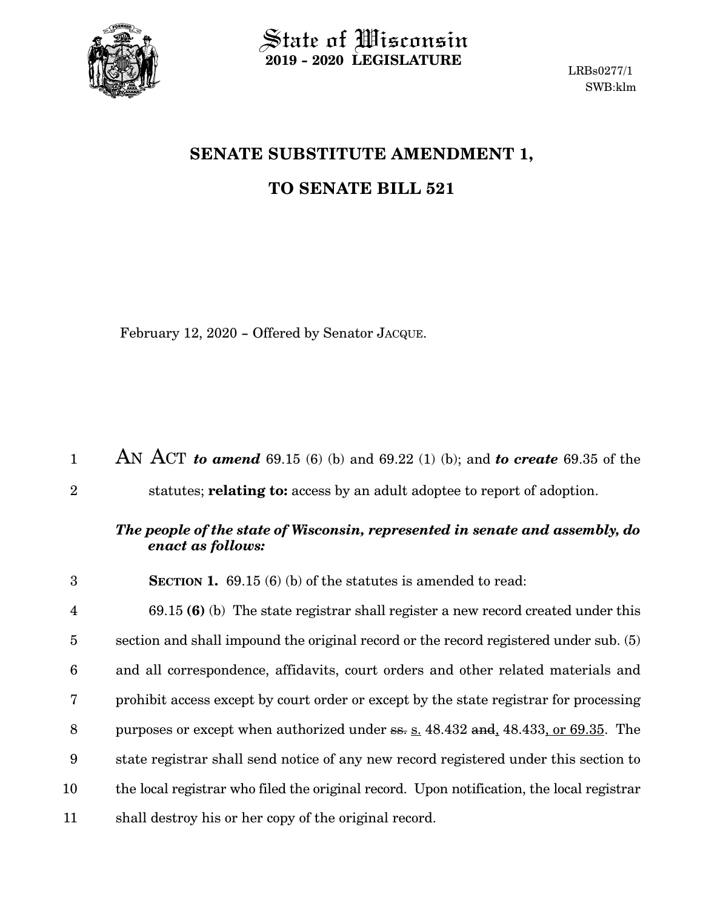

 $\operatorname{\mathsf{State}}$  of Wisconsin **2019 - 2020 LEGISLATURE**

## **SENATE SUBSTITUTE AMENDMENT 1, TO SENATE BILL 521**

February 12, 2020 - Offered by Senator JACQUE.

AN ACT *to amend* 69.15 (6) (b) and 69.22 (1) (b); and *to create* 69.35 of the statutes; **relating to:** access by an adult adoptee to report of adoption. 1 2

## *The people of the state of Wisconsin, represented in senate and assembly, do enact as follows:*

**SECTION 1.** 69.15 (6) (b) of the statutes is amended to read: 3

69.15 **(6)** (b) The state registrar shall register a new record created under this section and shall impound the original record or the record registered under sub. (5) and all correspondence, affidavits, court orders and other related materials and prohibit access except by court order or except by the state registrar for processing purposes or except when authorized under ss. s. 48.432 and, 48.433, or 69.35. The state registrar shall send notice of any new record registered under this section to the local registrar who filed the original record. Upon notification, the local registrar shall destroy his or her copy of the original record. 4 5 6 7 8 9 10 11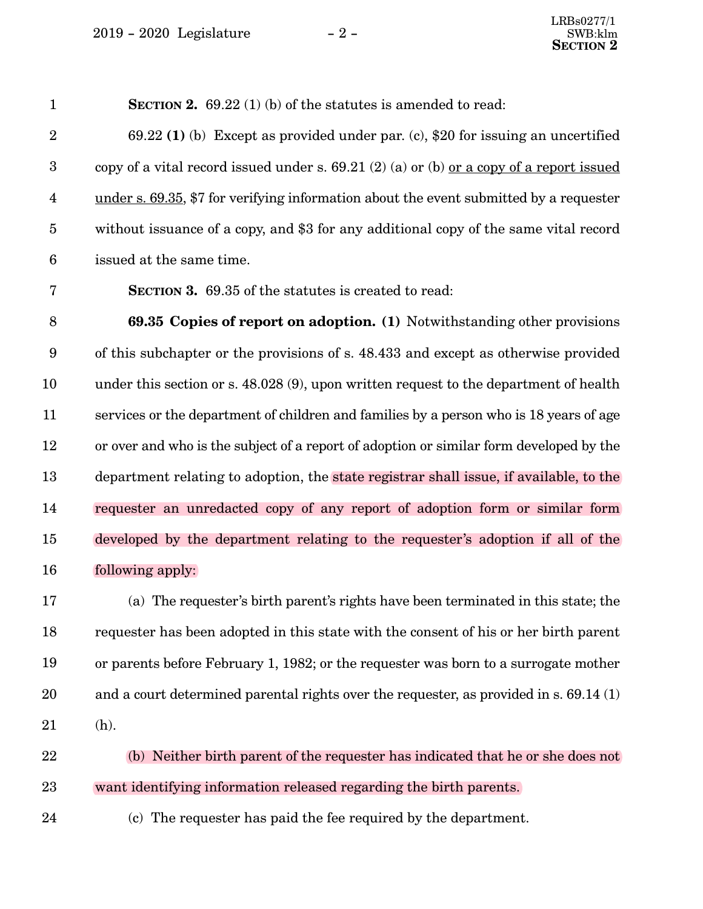2019 - 2020 Legislature - 2 -

**SECTION 2.** 69.22 (1) (b) of the statutes is amended to read: 1

69.22 **(1)** (b) Except as provided under par. (c), \$20 for issuing an uncertified copy of a vital record issued under s. 69.21 (2) (a) or (b) or a copy of a report issued under s. 69.35, \$7 for verifying information about the event submitted by a requester without issuance of a copy, and \$3 for any additional copy of the same vital record issued at the same time. 2 3 4 5 6

7

24

**SECTION 3.** 69.35 of the statutes is created to read:

**69.35 Copies of report on adoption. (1)** Notwithstanding other provisions of this subchapter or the provisions of s. 48.433 and except as otherwise provided under this section or s. 48.028 (9), upon written request to the department of health services or the department of children and families by a person who is 18 years of age or over and who is the subject of a report of adoption or similar form developed by the department relating to adoption, the state registrar shall issue, if available, to the requester an unredacted copy of any report of adoption form or similar form developed by the department relating to the requester's adoption if all of the following apply: 8 9 10 11 12 13 14 15 16

(a) The requester's birth parent's rights have been terminated in this state; the requester has been adopted in this state with the consent of his or her birth parent or parents before February 1, 1982; or the requester was born to a surrogate mother and a court determined parental rights over the requester, as provided in s. 69.14 (1) (h). 17 18 19 20 21

(b) Neither birth parent of the requester has indicated that he or she does not want identifying information released regarding the birth parents. 22 23

(c) The requester has paid the fee required by the department.